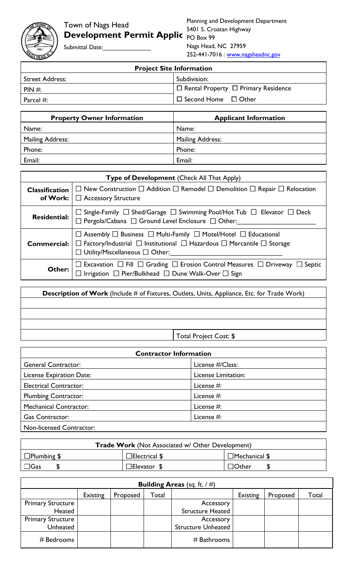Submittal Date:

| <b>Project Site Information</b> |                                                 |  |  |  |
|---------------------------------|-------------------------------------------------|--|--|--|
| Street Address:                 | Subdivision:                                    |  |  |  |
| $PHN \#$                        | $\Box$ Rental Property $\Box$ Primary Residence |  |  |  |
| Parcel $#$ :                    | $\Box$ Second Home $\Box$ Other                 |  |  |  |

| <b>Property Owner Information</b> | <b>Applicant Information</b> |
|-----------------------------------|------------------------------|
| Name:                             | Name:                        |
| Mailing Address:                  | <b>Mailing Address:</b>      |
| Phone:                            | Phone:                       |
| Email:                            | Email:                       |

|                       | Type of Development (Check All That Apply)                                                                                                                                                                                                  |  |  |  |  |
|-----------------------|---------------------------------------------------------------------------------------------------------------------------------------------------------------------------------------------------------------------------------------------|--|--|--|--|
| <b>Classification</b> | $\Box$ New Construction $\Box$ Addition $\Box$ Remodel $\Box$ Demolition $\Box$ Repair $\Box$ Relocation<br>of Work: $\Box$ Accessory Structure                                                                                             |  |  |  |  |
| <b>Residential:</b>   | $\Box$ Single-Family $\Box$ Shed/Garage $\Box$ Swimming Pool/Hot Tub $\Box$ Elevator $\Box$ Deck<br>$\Box$ Pergola/Cabana $\Box$ Ground Level Enclosure $\Box$ Other:                                                                       |  |  |  |  |
| <b>Commercial:</b>    | $\Box$ Assembly $\Box$ Business $\Box$ Multi-Family $\Box$ Motel/Hotel $\Box$ Educational<br>$\Box$ Factory/Industrial $\Box$ Institutional $\Box$ Hazardous $\Box$ Mercantile $\Box$ Storage<br>$\Box$ Utility/Miscellaneous $\Box$ Other: |  |  |  |  |
| Other:                | $\Box$ Excavation $\Box$ Fill $\Box$ Grading $\Box$ Erosion Control Measures $\Box$ Driveway $\Box$<br>Septic<br>$\Box$ Irrigation $\Box$ Pier/Bulkhead $\Box$ Dune Walk-Over $\Box$ Sign                                                   |  |  |  |  |

**Description of Work** (Include # of Fixtures, Outlets, Units, Appliance, Etc. for Trade Work) Total Project Cost: \$

| <b>Contractor Information</b> |                     |  |  |  |
|-------------------------------|---------------------|--|--|--|
| <b>General Contractor:</b>    | License #/Class:    |  |  |  |
| License Expiration Date:      | License Limitation: |  |  |  |
| <b>Electrical Contractor:</b> | License #:          |  |  |  |
| <b>Plumbing Contractor:</b>   | License #:          |  |  |  |
| <b>Mechanical Contractor:</b> | License #:          |  |  |  |
| <b>Gas Contractor:</b>        | License #:          |  |  |  |
| Non-licensed Contractor:      |                     |  |  |  |

| <b>Trade Work (Not Associated w/ Other Development)</b> |                      |                      |  |  |  |  |
|---------------------------------------------------------|----------------------|----------------------|--|--|--|--|
| $\Box$ Plumbing \$                                      | $\Box$ Electrical \$ | $\Box$ Mechanical \$ |  |  |  |  |
| $\Box$ Gas                                              | $\Box$ Elevator      | $\Box$ Other         |  |  |  |  |

| <b>Building Areas</b> (sq. ft. $/ \#$ ) |          |          |       |                           |          |          |       |  |
|-----------------------------------------|----------|----------|-------|---------------------------|----------|----------|-------|--|
|                                         | Existing | Proposed | Total |                           | Existing | Proposed | Total |  |
| <b>Primary Structure</b>                |          |          |       | Accessory                 |          |          |       |  |
| Heated                                  |          |          |       | <b>Structure Heated</b>   |          |          |       |  |
| <b>Primary Structure</b>                |          |          |       | Accessory                 |          |          |       |  |
| Unheated                                |          |          |       | <b>Structure Unheated</b> |          |          |       |  |
| # Bedrooms                              |          |          |       | $#$ Bathrooms             |          |          |       |  |